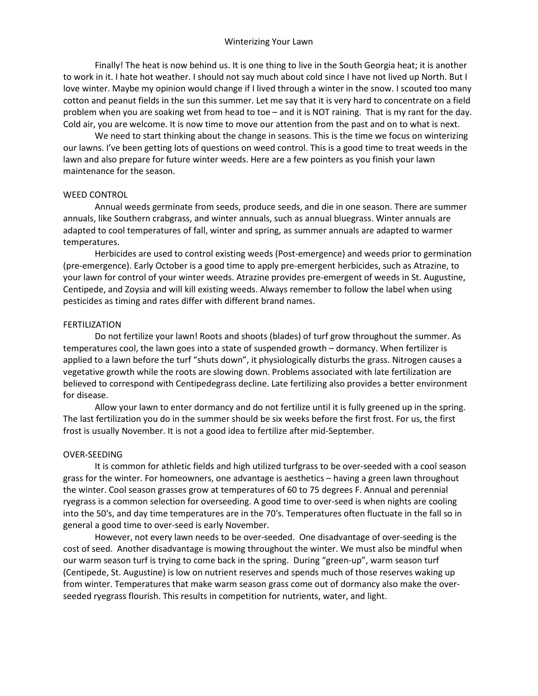## Winterizing Your Lawn

Finally! The heat is now behind us. It is one thing to live in the South Georgia heat; it is another to work in it. I hate hot weather. I should not say much about cold since I have not lived up North. But I love winter. Maybe my opinion would change if I lived through a winter in the snow. I scouted too many cotton and peanut fields in the sun this summer. Let me say that it is very hard to concentrate on a field problem when you are soaking wet from head to toe – and it is NOT raining. That is my rant for the day. Cold air, you are welcome. It is now time to move our attention from the past and on to what is next.

We need to start thinking about the change in seasons. This is the time we focus on winterizing our lawns. I've been getting lots of questions on weed control. This is a good time to treat weeds in the lawn and also prepare for future winter weeds. Here are a few pointers as you finish your lawn maintenance for the season.

## WEED CONTROL

Annual weeds germinate from seeds, produce seeds, and die in one season. There are summer annuals, like Southern crabgrass, and winter annuals, such as annual bluegrass. Winter annuals are adapted to cool temperatures of fall, winter and spring, as summer annuals are adapted to warmer temperatures.

Herbicides are used to control existing weeds (Post-emergence) and weeds prior to germination (pre-emergence). Early October is a good time to apply pre-emergent herbicides, such as Atrazine, to your lawn for control of your winter weeds. Atrazine provides pre-emergent of weeds in St. Augustine, Centipede, and Zoysia and will kill existing weeds. Always remember to follow the label when using pesticides as timing and rates differ with different brand names.

## FERTILIZATION

Do not fertilize your lawn! Roots and shoots (blades) of turf grow throughout the summer. As temperatures cool, the lawn goes into a state of suspended growth – dormancy. When fertilizer is applied to a lawn before the turf "shuts down", it physiologically disturbs the grass. Nitrogen causes a vegetative growth while the roots are slowing down. Problems associated with late fertilization are believed to correspond with Centipedegrass decline. Late fertilizing also provides a better environment for disease.

Allow your lawn to enter dormancy and do not fertilize until it is fully greened up in the spring. The last fertilization you do in the summer should be six weeks before the first frost. For us, the first frost is usually November. It is not a good idea to fertilize after mid-September.

## OVER-SEEDING

It is common for athletic fields and high utilized turfgrass to be over-seeded with a cool season grass for the winter. For homeowners, one advantage is aesthetics – having a green lawn throughout the winter. Cool season grasses grow at temperatures of 60 to 75 degrees F. Annual and perennial ryegrass is a common selection for overseeding. A good time to over-seed is when nights are cooling into the 50's, and day time temperatures are in the 70's. Temperatures often fluctuate in the fall so in general a good time to over-seed is early November.

However, not every lawn needs to be over-seeded. One disadvantage of over-seeding is the cost of seed. Another disadvantage is mowing throughout the winter. We must also be mindful when our warm season turf is trying to come back in the spring. During "green-up", warm season turf (Centipede, St. Augustine) is low on nutrient reserves and spends much of those reserves waking up from winter. Temperatures that make warm season grass come out of dormancy also make the overseeded ryegrass flourish. This results in competition for nutrients, water, and light.